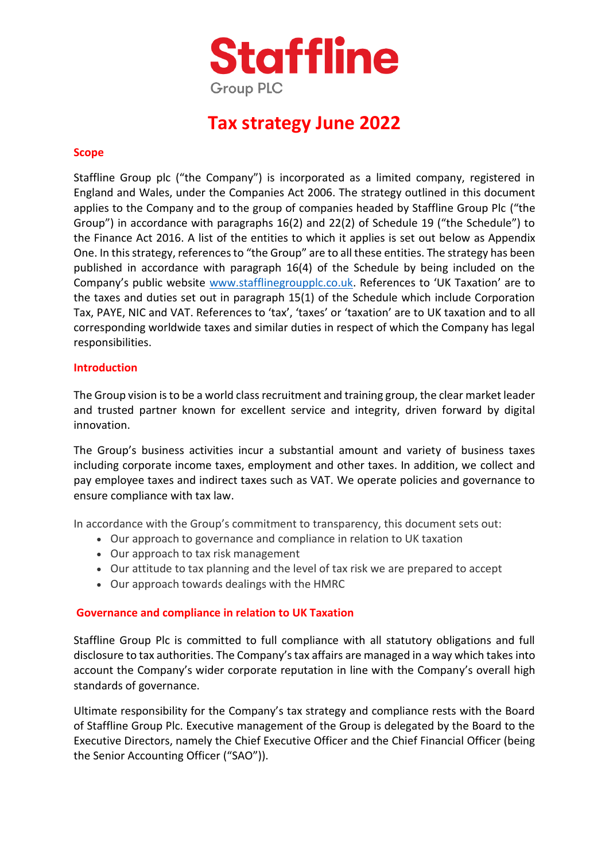

### **Tax strategy June 2022**

### **Scope**

Staffline Group plc ("the Company") is incorporated as a limited company, registered in England and Wales, under the Companies Act 2006. The strategy outlined in this document applies to the Company and to the group of companies headed by Staffline Group Plc ("the Group") in accordance with paragraphs 16(2) and 22(2) of Schedule 19 ("the Schedule") to the Finance Act 2016. A list of the entities to which it applies is set out below as Appendix One. In this strategy, references to "the Group" are to all these entities. The strategy has been published in accordance with paragraph 16(4) of the Schedule by being included on the Company's public website [www.stafflinegroupplc.co.uk](http://www.stafflinegroupplc.co.uk/). References to 'UK Taxation' are to the taxes and duties set out in paragraph 15(1) of the Schedule which include Corporation Tax, PAYE, NIC and VAT. References to 'tax', 'taxes' or 'taxation' are to UK taxation and to all corresponding worldwide taxes and similar duties in respect of which the Company has legal responsibilities.

### **Introduction**

The Group vision is to be a world class recruitment and training group, the clear market leader and trusted partner known for excellent service and integrity, driven forward by digital innovation.

The Group's business activities incur a substantial amount and variety of business taxes including corporate income taxes, employment and other taxes. In addition, we collect and pay employee taxes and indirect taxes such as VAT. We operate policies and governance to ensure compliance with tax law.

In accordance with the Group's commitment to transparency, this document sets out:

- Our approach to governance and compliance in relation to UK taxation
- Our approach to tax risk management
- Our attitude to tax planning and the level of tax risk we are prepared to accept
- Our approach towards dealings with the HMRC

### **Governance and compliance in relation to UK Taxation**

Staffline Group Plc is committed to full compliance with all statutory obligations and full disclosure to tax authorities. The Company's tax affairs are managed in a way which takes into account the Company's wider corporate reputation in line with the Company's overall high standards of governance.

Ultimate responsibility for the Company's tax strategy and compliance rests with the Board of Staffline Group Plc. Executive management of the Group is delegated by the Board to the Executive Directors, namely the Chief Executive Officer and the Chief Financial Officer (being the Senior Accounting Officer ("SAO")).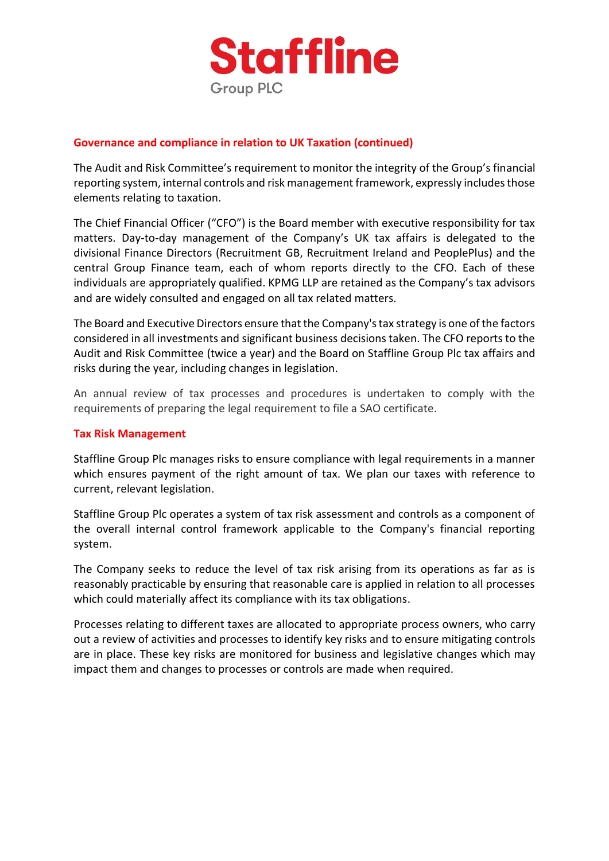

### **Governance and compliance in relation to UK Taxation (continued)**

The Audit and Risk Committee's requirement to monitor the integrity of the Group's financial reporting system, internal controls and risk management framework, expressly includes those elements relating to taxation.

The Chief Financial Officer ("CFO") is the Board member with executive responsibility for tax matters. Day-to-day management of the Company's UK tax affairs is delegated to the divisional Finance Directors (Recruitment GB, Recruitment Ireland and PeoplePlus) and the central Group Finance team, each of whom reports directly to the CFO. Each of these individuals are appropriately qualified. KPMG LLP are retained as the Company's tax advisors and are widely consulted and engaged on all tax related matters.

The Board and Executive Directors ensure that the Company's tax strategy is one of the factors considered in all investments and significant business decisions taken. The CFO reports to the Audit and Risk Committee (twice a year) and the Board on Staffline Group Plc tax affairs and risks during the year, including changes in legislation.

An annual review of tax processes and procedures is undertaken to comply with the requirements of preparing the legal requirement to file a SAO certificate.

### **Tax Risk Management**

Staffline Group Plc manages risks to ensure compliance with legal requirements in a manner which ensures payment of the right amount of tax. We plan our taxes with reference to current, relevant legislation.

Staffline Group Plc operates a system of tax risk assessment and controls as a component of the overall internal control framework applicable to the Company's financial reporting system.

The Company seeks to reduce the level of tax risk arising from its operations as far as is reasonably practicable by ensuring that reasonable care is applied in relation to all processes which could materially affect its compliance with its tax obligations.

Processes relating to different taxes are allocated to appropriate process owners, who carry out a review of activities and processes to identify key risks and to ensure mitigating controls are in place. These key risks are monitored for business and legislative changes which may impact them and changes to processes or controls are made when required.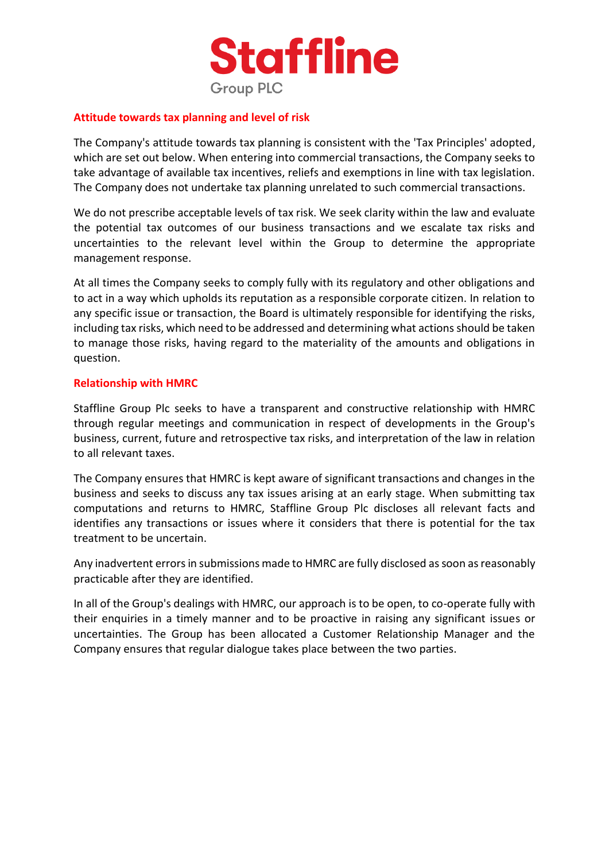

### **Attitude towards tax planning and level of risk**

The Company's attitude towards tax planning is consistent with the 'Tax Principles' adopted, which are set out below. When entering into commercial transactions, the Company seeks to take advantage of available tax incentives, reliefs and exemptions in line with tax legislation. The Company does not undertake tax planning unrelated to such commercial transactions.

We do not prescribe acceptable levels of tax risk. We seek clarity within the law and evaluate the potential tax outcomes of our business transactions and we escalate tax risks and uncertainties to the relevant level within the Group to determine the appropriate management response.

At all times the Company seeks to comply fully with its regulatory and other obligations and to act in a way which upholds its reputation as a responsible corporate citizen. In relation to any specific issue or transaction, the Board is ultimately responsible for identifying the risks, including tax risks, which need to be addressed and determining what actions should be taken to manage those risks, having regard to the materiality of the amounts and obligations in question.

### **Relationship with HMRC**

Staffline Group Plc seeks to have a transparent and constructive relationship with HMRC through regular meetings and communication in respect of developments in the Group's business, current, future and retrospective tax risks, and interpretation of the law in relation to all relevant taxes.

The Company ensures that HMRC is kept aware of significant transactions and changes in the business and seeks to discuss any tax issues arising at an early stage. When submitting tax computations and returns to HMRC, Staffline Group Plc discloses all relevant facts and identifies any transactions or issues where it considers that there is potential for the tax treatment to be uncertain.

Any inadvertent errors in submissions made to HMRC are fully disclosed as soon as reasonably practicable after they are identified.

In all of the Group's dealings with HMRC, our approach is to be open, to co-operate fully with their enquiries in a timely manner and to be proactive in raising any significant issues or uncertainties. The Group has been allocated a Customer Relationship Manager and the Company ensures that regular dialogue takes place between the two parties.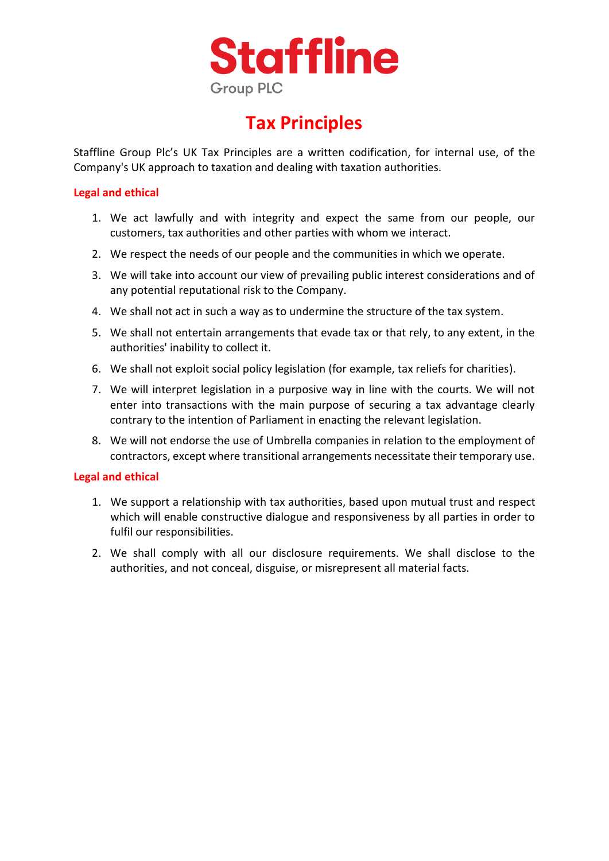

## **Tax Principles**

Staffline Group Plc's UK Tax Principles are a written codification, for internal use, of the Company's UK approach to taxation and dealing with taxation authorities.

### **Legal and ethical**

- 1. We act lawfully and with integrity and expect the same from our people, our customers, tax authorities and other parties with whom we interact.
- 2. We respect the needs of our people and the communities in which we operate.
- 3. We will take into account our view of prevailing public interest considerations and of any potential reputational risk to the Company.
- 4. We shall not act in such a way as to undermine the structure of the tax system.
- 5. We shall not entertain arrangements that evade tax or that rely, to any extent, in the authorities' inability to collect it.
- 6. We shall not exploit social policy legislation (for example, tax reliefs for charities).
- 7. We will interpret legislation in a purposive way in line with the courts. We will not enter into transactions with the main purpose of securing a tax advantage clearly contrary to the intention of Parliament in enacting the relevant legislation.
- 8. We will not endorse the use of Umbrella companies in relation to the employment of contractors, except where transitional arrangements necessitate their temporary use.

### **Legal and ethical**

- 1. We support a relationship with tax authorities, based upon mutual trust and respect which will enable constructive dialogue and responsiveness by all parties in order to fulfil our responsibilities.
- 2. We shall comply with all our disclosure requirements. We shall disclose to the authorities, and not conceal, disguise, or misrepresent all material facts.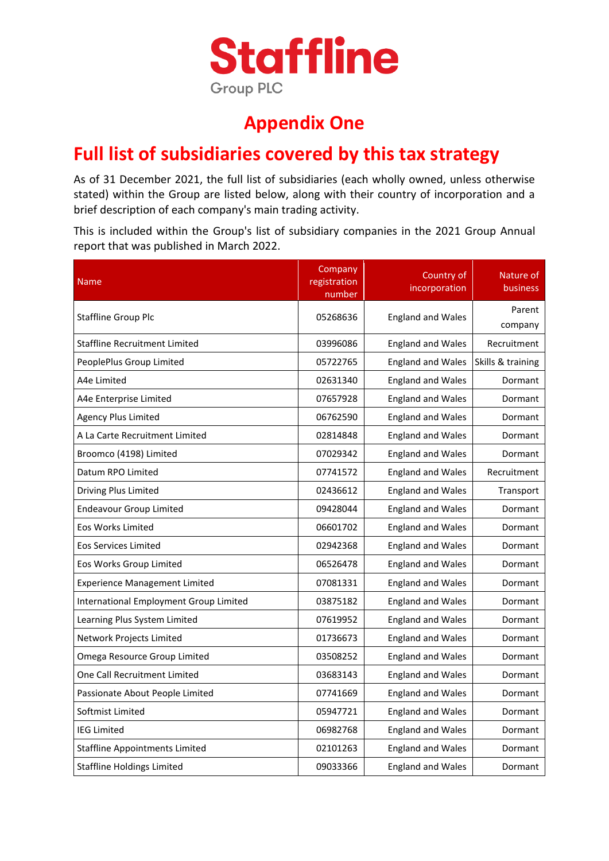

### **Appendix One**

### **Full list of subsidiaries covered by this tax strategy**

As of 31 December 2021, the full list of subsidiaries (each wholly owned, unless otherwise stated) within the Group are listed below, along with their country of incorporation and a brief description of each company's main trading activity.

This is included within the Group's list of subsidiary companies in the 2021 Group Annual report that was published in March 2022.

| <b>Name</b>                            | Company<br>registration<br>number | Country of<br>incorporation | Nature of<br>business |
|----------------------------------------|-----------------------------------|-----------------------------|-----------------------|
| <b>Staffline Group Plc</b>             | 05268636                          | <b>England and Wales</b>    | Parent<br>company     |
| <b>Staffline Recruitment Limited</b>   | 03996086                          | <b>England and Wales</b>    | Recruitment           |
| PeoplePlus Group Limited               | 05722765                          | England and Wales           | Skills & training     |
| A4e Limited                            | 02631340                          | <b>England and Wales</b>    | Dormant               |
| A4e Enterprise Limited                 | 07657928                          | <b>England and Wales</b>    | Dormant               |
| <b>Agency Plus Limited</b>             | 06762590                          | <b>England and Wales</b>    | Dormant               |
| A La Carte Recruitment Limited         | 02814848                          | <b>England and Wales</b>    | Dormant               |
| Broomco (4198) Limited                 | 07029342                          | <b>England and Wales</b>    | Dormant               |
| Datum RPO Limited                      | 07741572                          | <b>England and Wales</b>    | Recruitment           |
| Driving Plus Limited                   | 02436612                          | <b>England and Wales</b>    | Transport             |
| <b>Endeavour Group Limited</b>         | 09428044                          | <b>England and Wales</b>    | Dormant               |
| Eos Works Limited                      | 06601702                          | <b>England and Wales</b>    | Dormant               |
| <b>Eos Services Limited</b>            | 02942368                          | <b>England and Wales</b>    | Dormant               |
| Eos Works Group Limited                | 06526478                          | <b>England and Wales</b>    | Dormant               |
| <b>Experience Management Limited</b>   | 07081331                          | <b>England and Wales</b>    | Dormant               |
| International Employment Group Limited | 03875182                          | <b>England and Wales</b>    | Dormant               |
| Learning Plus System Limited           | 07619952                          | <b>England and Wales</b>    | Dormant               |
| Network Projects Limited               | 01736673                          | <b>England and Wales</b>    | Dormant               |
| Omega Resource Group Limited           | 03508252                          | <b>England and Wales</b>    | Dormant               |
| One Call Recruitment Limited           | 03683143                          | <b>England and Wales</b>    | Dormant               |
| Passionate About People Limited        | 07741669                          | <b>England and Wales</b>    | Dormant               |
| Softmist Limited                       | 05947721                          | <b>England and Wales</b>    | Dormant               |
| <b>IEG Limited</b>                     | 06982768                          | <b>England and Wales</b>    | Dormant               |
| <b>Staffline Appointments Limited</b>  | 02101263                          | <b>England and Wales</b>    | Dormant               |
| <b>Staffline Holdings Limited</b>      | 09033366                          | <b>England and Wales</b>    | Dormant               |